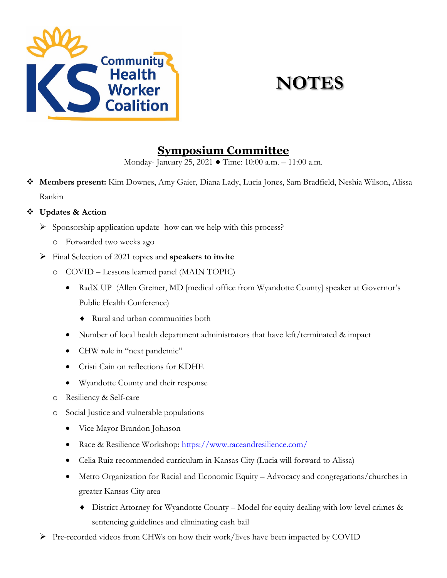

# **NOTES**

### **Symposium Committee**

Monday- January 25, 2021 ● Time: 10:00 a.m. – 11:00 a.m.

 **Members present:** Kim Downes, Amy Gaier, Diana Lady, Lucia Jones, Sam Bradfield, Neshia Wilson, Alissa Rankin

### **Updates & Action**

- $\triangleright$  Sponsorship application update- how can we help with this process?
	- o Forwarded two weeks ago
- Final Selection of 2021 topics and **speakers to invite**
	- o COVID Lessons learned panel (MAIN TOPIC)
		- RadX UP (Allen Greiner, MD [medical office from Wyandotte County] speaker at Governor's Public Health Conference)
			- ♦ Rural and urban communities both
		- Number of local health department administrators that have left/terminated & impact
		- CHW role in "next pandemic"
		- Cristi Cain on reflections for KDHE
		- Wyandotte County and their response
	- o Resiliency & Self-care
	- o Social Justice and vulnerable populations
		- Vice Mayor Brandon Johnson
		- Race & Resilience Workshop:<https://www.raceandresilience.com/>
		- Celia Ruiz recommended curriculum in Kansas City (Lucia will forward to Alissa)
		- Metro Organization for Racial and Economic Equity Advocacy and congregations/churches in greater Kansas City area
			- ♦ District Attorney for Wyandotte County Model for equity dealing with low-level crimes & sentencing guidelines and eliminating cash bail
- Pre-recorded videos from CHWs on how their work/lives have been impacted by COVID